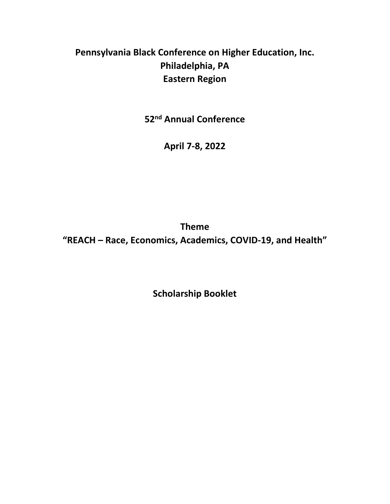# **Pennsylvania Black Conference on Higher Education, Inc. Philadelphia, PA Eastern Region**

**52nd Annual Conference**

**April 7-8, 2022**

**Theme "REACH – Race, Economics, Academics, COVID-19, and Health"**

**Scholarship Booklet**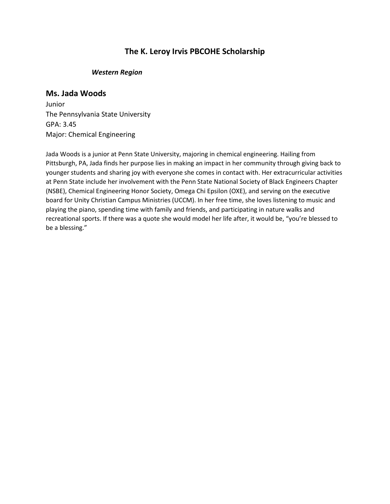# **The K. Leroy Irvis PBCOHE Scholarship**

#### *Western Region*

#### **Ms. Jada Woods**

Junior The Pennsylvania State University GPA: 3.45 Major: Chemical Engineering

Jada Woods is a junior at Penn State University, majoring in chemical engineering. Hailing from Pittsburgh, PA, Jada finds her purpose lies in making an impact in her community through giving back to younger students and sharing joy with everyone she comes in contact with. Her extracurricular activities at Penn State include her involvement with the Penn State National Society of Black Engineers Chapter (NSBE), Chemical Engineering Honor Society, Omega Chi Epsilon (OXE), and serving on the executive board for Unity Christian Campus Ministries (UCCM). In her free time, she loves listening to music and playing the piano, spending time with family and friends, and participating in nature walks and recreational sports. If there was a quote she would model her life after, it would be, "you're blessed to be a blessing."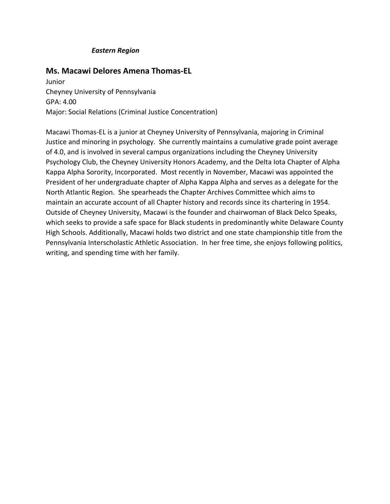#### *Eastern Region*

# **Ms. Macawi Delores Amena Thomas-EL**

Junior Cheyney University of Pennsylvania GPA: 4.00 Major: Social Relations (Criminal Justice Concentration)

Macawi Thomas-EL is a junior at Cheyney University of Pennsylvania, majoring in Criminal Justice and minoring in psychology. She currently maintains a cumulative grade point average of 4.0, and is involved in several campus organizations including the Cheyney University Psychology Club, the Cheyney University Honors Academy, and the Delta Iota Chapter of Alpha Kappa Alpha Sorority, Incorporated. Most recently in November, Macawi was appointed the President of her undergraduate chapter of Alpha Kappa Alpha and serves as a delegate for the North Atlantic Region. She spearheads the Chapter Archives Committee which aims to maintain an accurate account of all Chapter history and records since its chartering in 1954. Outside of Cheyney University, Macawi is the founder and chairwoman of Black Delco Speaks, which seeks to provide a safe space for Black students in predominantly white Delaware County High Schools. Additionally, Macawi holds two district and one state championship title from the Pennsylvania Interscholastic Athletic Association. In her free time, she enjoys following politics, writing, and spending time with her family.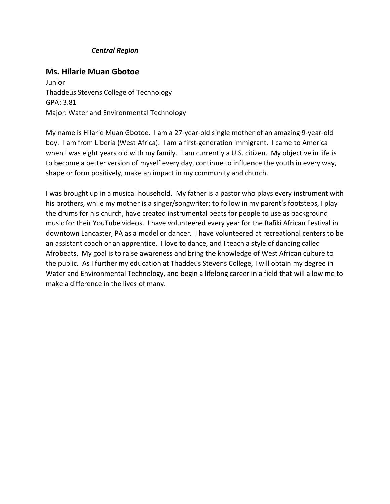#### *Central Region*

### **Ms. Hilarie Muan Gbotoe**

Junior Thaddeus Stevens College of Technology GPA: 3.81 Major: Water and Environmental Technology

My name is Hilarie Muan Gbotoe. I am a 27-year-old single mother of an amazing 9-year-old boy. I am from Liberia (West Africa). I am a first-generation immigrant. I came to America when I was eight years old with my family. I am currently a U.S. citizen. My objective in life is to become a better version of myself every day, continue to influence the youth in every way, shape or form positively, make an impact in my community and church.

I was brought up in a musical household. My father is a pastor who plays every instrument with his brothers, while my mother is a singer/songwriter; to follow in my parent's footsteps, I play the drums for his church, have created instrumental beats for people to use as background music for their YouTube videos. I have volunteered every year for the Rafiki African Festival in downtown Lancaster, PA as a model or dancer. I have volunteered at recreational centers to be an assistant coach or an apprentice. I love to dance, and I teach a style of dancing called Afrobeats. My goal is to raise awareness and bring the knowledge of West African culture to the public. As I further my education at Thaddeus Stevens College, I will obtain my degree in Water and Environmental Technology, and begin a lifelong career in a field that will allow me to make a difference in the lives of many.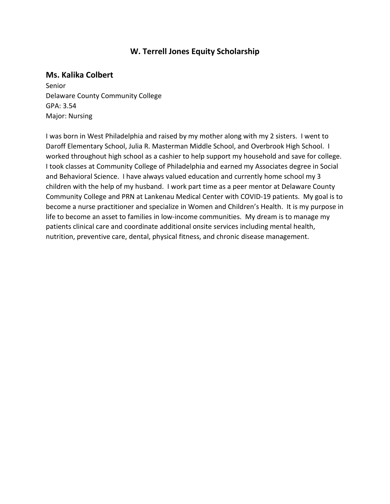# **W. Terrell Jones Equity Scholarship**

# **Ms. Kalika Colbert**

Senior Delaware County Community College GPA: 3.54 Major: Nursing

I was born in West Philadelphia and raised by my mother along with my 2 sisters. I went to Daroff Elementary School, Julia R. Masterman Middle School, and Overbrook High School. I worked throughout high school as a cashier to help support my household and save for college. I took classes at Community College of Philadelphia and earned my Associates degree in Social and Behavioral Science. I have always valued education and currently home school my 3 children with the help of my husband. I work part time as a peer mentor at Delaware County Community College and PRN at Lankenau Medical Center with COVID-19 patients. My goal is to become a nurse practitioner and specialize in Women and Children's Health. It is my purpose in life to become an asset to families in low-income communities. My dream is to manage my patients clinical care and coordinate additional onsite services including mental health, nutrition, preventive care, dental, physical fitness, and chronic disease management.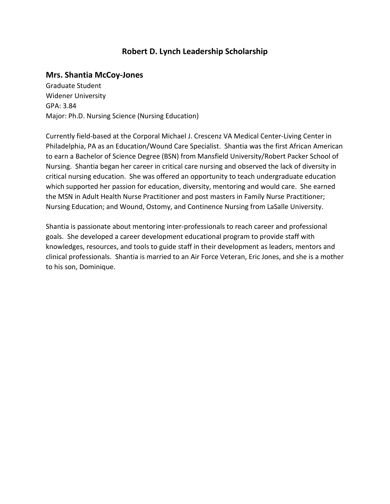# **Robert D. Lynch Leadership Scholarship**

#### **Mrs. Shantia McCoy-Jones**

Graduate Student Widener University GPA: 3.84 Major: Ph.D. Nursing Science (Nursing Education)

Currently field-based at the Corporal Michael J. Crescenz VA Medical Center-Living Center in Philadelphia, PA as an Education/Wound Care Specialist. Shantia was the first African American to earn a Bachelor of Science Degree (BSN) from Mansfield University/Robert Packer School of Nursing. Shantia began her career in critical care nursing and observed the lack of diversity in critical nursing education. She was offered an opportunity to teach undergraduate education which supported her passion for education, diversity, mentoring and would care. She earned the MSN in Adult Health Nurse Practitioner and post masters in Family Nurse Practitioner; Nursing Education; and Wound, Ostomy, and Continence Nursing from LaSalle University.

Shantia is passionate about mentoring inter-professionals to reach career and professional goals. She developed a career development educational program to provide staff with knowledges, resources, and tools to guide staff in their development as leaders, mentors and clinical professionals. Shantia is married to an Air Force Veteran, Eric Jones, and she is a mother to his son, Dominique.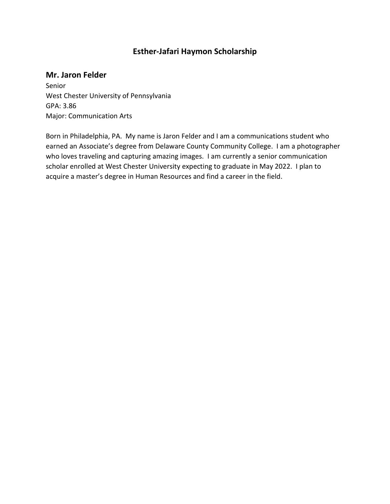# **Esther-Jafari Haymon Scholarship**

# **Mr. Jaron Felder**

Senior West Chester University of Pennsylvania GPA: 3.86 Major: Communication Arts

Born in Philadelphia, PA. My name is Jaron Felder and I am a communications student who earned an Associate's degree from Delaware County Community College. I am a photographer who loves traveling and capturing amazing images. I am currently a senior communication scholar enrolled at West Chester University expecting to graduate in May 2022. I plan to acquire a master's degree in Human Resources and find a career in the field.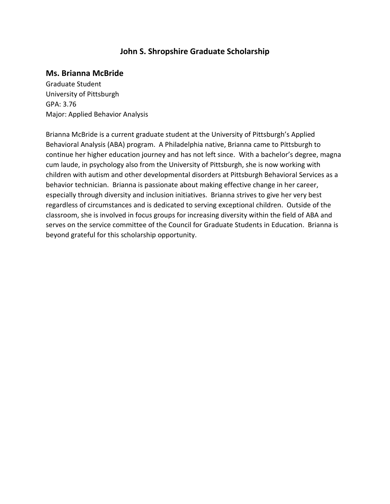# **John S. Shropshire Graduate Scholarship**

# **Ms. Brianna McBride**

Graduate Student University of Pittsburgh GPA: 3.76 Major: Applied Behavior Analysis

Brianna McBride is a current graduate student at the University of Pittsburgh's Applied Behavioral Analysis (ABA) program. A Philadelphia native, Brianna came to Pittsburgh to continue her higher education journey and has not left since. With a bachelor's degree, magna cum laude, in psychology also from the University of Pittsburgh, she is now working with children with autism and other developmental disorders at Pittsburgh Behavioral Services as a behavior technician. Brianna is passionate about making effective change in her career, especially through diversity and inclusion initiatives. Brianna strives to give her very best regardless of circumstances and is dedicated to serving exceptional children. Outside of the classroom, she is involved in focus groups for increasing diversity within the field of ABA and serves on the service committee of the Council for Graduate Students in Education. Brianna is beyond grateful for this scholarship opportunity.